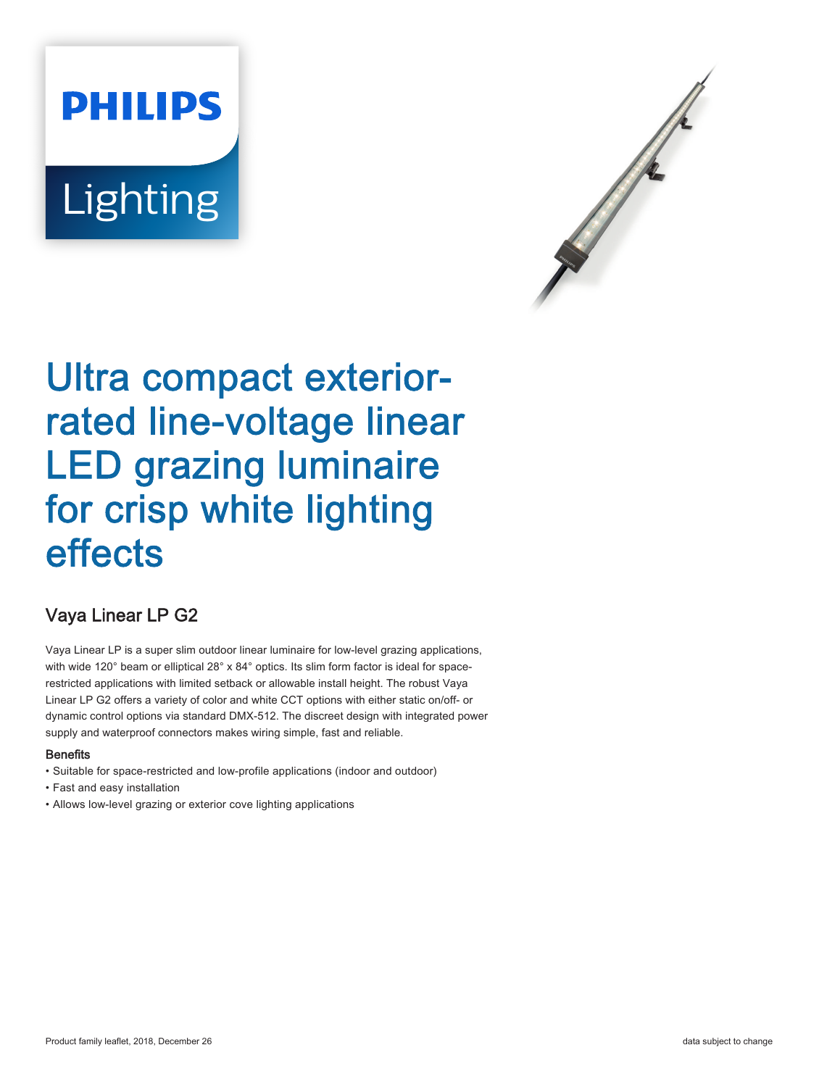# **PHILIPS** Lighting



# Ultra compact exteriorrated line-voltage linear LED grazing luminaire for crisp white lighting effects

# Vaya Linear LP G2

Vaya Linear LP is a super slim outdoor linear luminaire for low-level grazing applications, with wide 120° beam or elliptical 28° x 84° optics. Its slim form factor is ideal for spacerestricted applications with limited setback or allowable install height. The robust Vaya Linear LP G2 offers a variety of color and white CCT options with either static on/off- or dynamic control options via standard DMX-512. The discreet design with integrated power supply and waterproof connectors makes wiring simple, fast and reliable.

## **Benefits**

- Suitable for space-restricted and low-profile applications (indoor and outdoor)
- Fast and easy installation
- Allows low-level grazing or exterior cove lighting applications